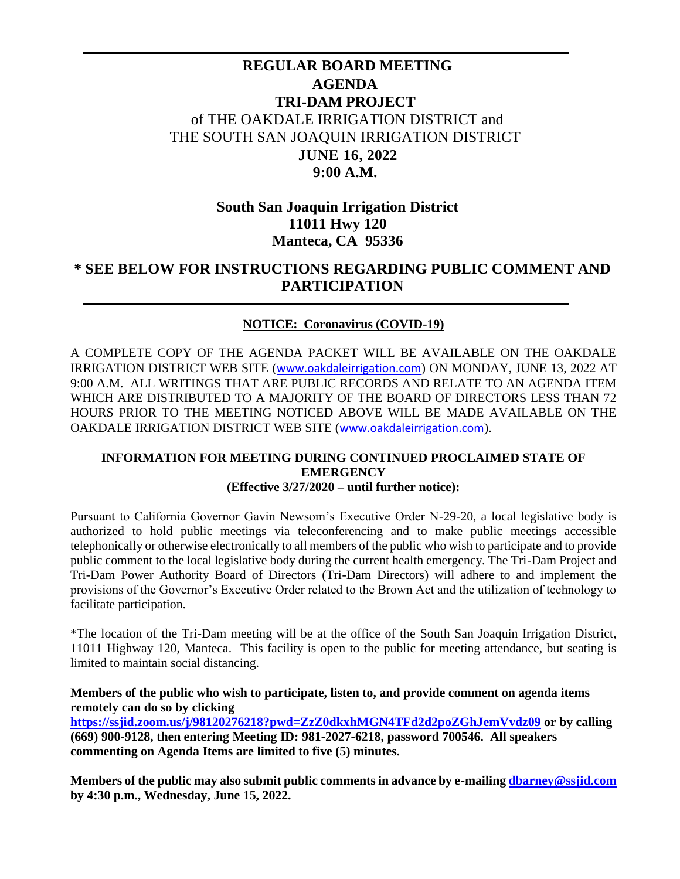# **REGULAR BOARD MEETING AGENDA TRI-DAM PROJECT** of THE OAKDALE IRRIGATION DISTRICT and THE SOUTH SAN JOAQUIN IRRIGATION DISTRICT **JUNE 16, 2022 9:00 A.M.**

### **South San Joaquin Irrigation District 11011 Hwy 120 Manteca, CA 95336**

# **\* SEE BELOW FOR INSTRUCTIONS REGARDING PUBLIC COMMENT AND PARTICIPATION**

#### **NOTICE: Coronavirus (COVID-19)**

A COMPLETE COPY OF THE AGENDA PACKET WILL BE AVAILABLE ON THE OAKDALE IRRIGATION DISTRICT WEB SITE ([www.oakdaleirrigation.com](http://www.oakdaleirrigation.com/)) ON MONDAY, JUNE 13, 2022 AT 9:00 A.M. ALL WRITINGS THAT ARE PUBLIC RECORDS AND RELATE TO AN AGENDA ITEM WHICH ARE DISTRIBUTED TO A MAJORITY OF THE BOARD OF DIRECTORS LESS THAN 72 HOURS PRIOR TO THE MEETING NOTICED ABOVE WILL BE MADE AVAILABLE ON THE OAKDALE IRRIGATION DISTRICT WEB SITE ([www.oakdaleirrigation.com](http://www.oakdaleirrigation.com/)).

#### **INFORMATION FOR MEETING DURING CONTINUED PROCLAIMED STATE OF EMERGENCY (Effective 3/27/2020 – until further notice):**

Pursuant to California Governor Gavin Newsom's Executive Order N-29-20, a local legislative body is authorized to hold public meetings via teleconferencing and to make public meetings accessible telephonically or otherwise electronically to all members of the public who wish to participate and to provide public comment to the local legislative body during the current health emergency. The Tri-Dam Project and Tri-Dam Power Authority Board of Directors (Tri-Dam Directors) will adhere to and implement the provisions of the Governor's Executive Order related to the Brown Act and the utilization of technology to facilitate participation.

\*The location of the Tri-Dam meeting will be at the office of the South San Joaquin Irrigation District, 11011 Highway 120, Manteca. This facility is open to the public for meeting attendance, but seating is limited to maintain social distancing.

#### **Members of the public who wish to participate, listen to, and provide comment on agenda items remotely can do so by clicking**

**<https://ssjid.zoom.us/j/98120276218?pwd=ZzZ0dkxhMGN4TFd2d2poZGhJemVvdz09> or by calling (669) 900-9128, then entering Meeting ID: 981-2027-6218, password 700546. All speakers commenting on Agenda Items are limited to five (5) minutes.** 

**Members of the public may also submit public comments in advance by e-mailing [dbarney@ssjid.com](mailto:dbarney@ssjid.com) by 4:30 p.m., Wednesday, June 15, 2022.**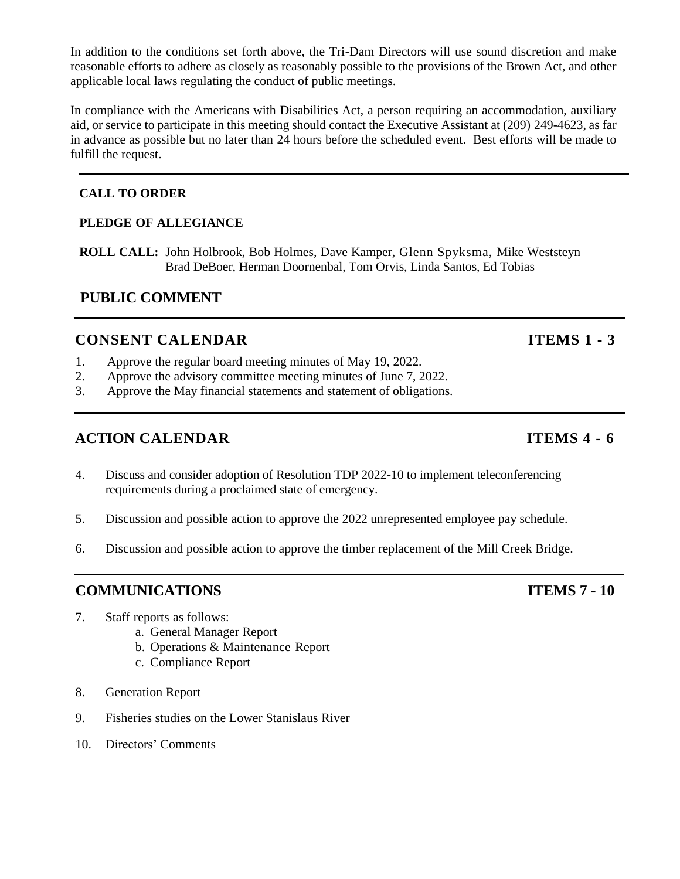In addition to the conditions set forth above, the Tri-Dam Directors will use sound discretion and make reasonable efforts to adhere as closely as reasonably possible to the provisions of the Brown Act, and other applicable local laws regulating the conduct of public meetings.

In compliance with the Americans with Disabilities Act, a person requiring an accommodation, auxiliary aid, or service to participate in this meeting should contact the Executive Assistant at (209) 249-4623, as far in advance as possible but no later than 24 hours before the scheduled event. Best efforts will be made to fulfill the request.

#### **CALL TO ORDER**

#### **PLEDGE OF ALLEGIANCE**

**ROLL CALL:** John Holbrook, Bob Holmes, Dave Kamper, Glenn Spyksma, Mike Weststeyn Brad DeBoer, Herman Doornenbal, Tom Orvis, Linda Santos, Ed Tobias

# **PUBLIC COMMENT**

# **CONSENT CALENDAR ITEMS** 1 - 3

- 1. Approve the regular board meeting minutes of May 19, 2022.
- 2. Approve the advisory committee meeting minutes of June 7, 2022.
- 3. Approve the May financial statements and statement of obligations.

# **ACTION CALENDAR ITEMS 4 - 6**

- 4. Discuss and consider adoption of Resolution TDP 2022-10 to implement teleconferencing requirements during a proclaimed state of emergency.
- 5. Discussion and possible action to approve the 2022 unrepresented employee pay schedule.
- 6. Discussion and possible action to approve the timber replacement of the Mill Creek Bridge.

### **COMMUNICATIONS ITEMS 7 - 10**

- 7. Staff reports as follows:
	- a. General Manager Report
	- b. Operations & Maintenance Report
	- c. Compliance Report
- 8. Generation Report
- 9. Fisheries studies on the Lower Stanislaus River
- 10. Directors' Comments